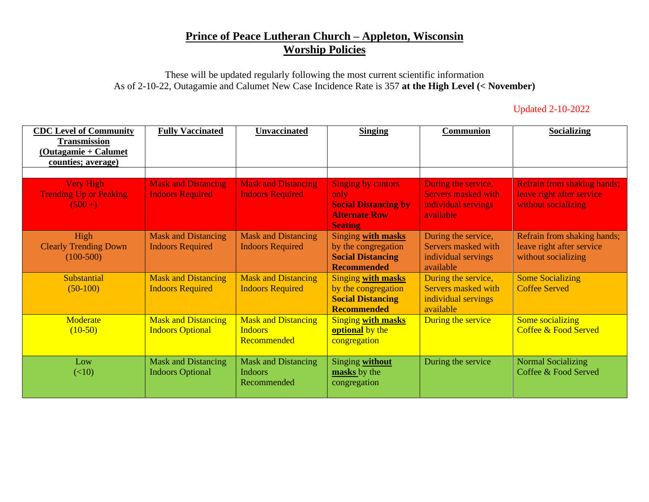## **Prince of Peace Lutheran Church – Appleton, Wisconsin Worship Policies**

These will be updated regularly following the most current scientific information As of 2-10-22, Outagamie and Calumet New Case Incidence Rate is 357 **at the High Level (< November)**

| <b>Updated 2-10-2022</b> |  |  |
|--------------------------|--|--|
|                          |  |  |

| <b>CDC Level of Community</b><br><b>Transmission</b><br>(Outagamie + Calumet<br>counties; average) | <b>Fully Vaccinated</b>                               | <b>Unvaccinated</b>                                         | <b>Singing</b>                                                                                             | <b>Communion</b>                                                                      | <b>Socializing</b>                                                                     |
|----------------------------------------------------------------------------------------------------|-------------------------------------------------------|-------------------------------------------------------------|------------------------------------------------------------------------------------------------------------|---------------------------------------------------------------------------------------|----------------------------------------------------------------------------------------|
| <b>Very High</b><br><b>Trending Up or Peaking</b><br>$(500+)$                                      | <b>Mask and Distancing</b><br><b>Indoors Required</b> | <b>Mask and Distancing</b><br><b>Indoors Required</b>       | <b>Singing by cantors</b><br>only<br><b>Social Distancing by</b><br><b>Alternate Row</b><br><b>Seating</b> | During the service,<br><b>Servers masked with</b><br>individual servings<br>available | <b>Refrain from shaking hands;</b><br>leave right after service<br>without socializing |
| High<br><b>Clearly Trending Down</b><br>$(100-500)$                                                | <b>Mask and Distancing</b><br><b>Indoors Required</b> | <b>Mask and Distancing</b><br><b>Indoors Required</b>       | Singing with masks<br>by the congregation<br><b>Social Distancing</b><br><b>Recommended</b>                | During the service,<br>Servers masked with<br>individual servings<br>available        | Refrain from shaking hands;<br>leave right after service<br>without socializing        |
| Substantial<br>$(50-100)$                                                                          | <b>Mask and Distancing</b><br><b>Indoors Required</b> | <b>Mask and Distancing</b><br><b>Indoors Required</b>       | <b>Singing with masks</b><br>by the congregation<br><b>Social Distancing</b><br><b>Recommended</b>         | During the service,<br>Servers masked with<br>individual servings<br>available        | <b>Some Socializing</b><br><b>Coffee Served</b>                                        |
| Moderate<br>$(10-50)$                                                                              | <b>Mask and Distancing</b><br><b>Indoors Optional</b> | <b>Mask and Distancing</b><br><b>Indoors</b><br>Recommended | <b>Singing with masks</b><br>optional by the<br>congregation                                               | During the service                                                                    | Some socializing<br><b>Coffee &amp; Food Served</b>                                    |
| Low<br>(<10)                                                                                       | <b>Mask and Distancing</b><br><b>Indoors Optional</b> | <b>Mask and Distancing</b><br><b>Indoors</b><br>Recommended | Singing without<br>masks by the<br>congregation                                                            | During the service                                                                    | <b>Normal Socializing</b><br>Coffee & Food Served                                      |